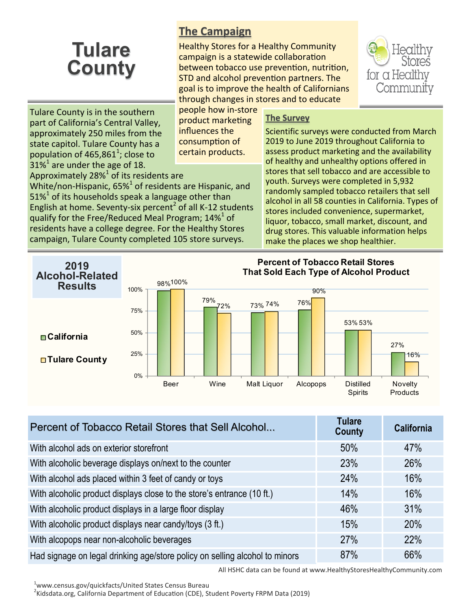## **Tulare County**

## **The Campaign**

Healthy Stores for a Healthy Community campaign is a statewide collaboration between tobacco use prevention, nutrition, STD and alcohol prevention partners. The goal is to improve the health of Californians through changes in stores and to educate

for a Healthy Community

Tulare County is in the southern part of California's Central Valley, approximately 250 miles from the state capitol. Tulare County has a population of 465,861<sup>1</sup>; close to  $31\%$ <sup>1</sup> are under the age of 18. Approximately 28% $^1$  of its residents are

White/non-Hispanic,  $65\%<sup>1</sup>$  of residents are Hispanic, and  $51\%$ <sup>1</sup> of its households speak a language other than

English at home. Seventy-six percent<sup>2</sup> of all K-12 students qualify for the Free/Reduced Meal Program; 14% $^{1}$  of residents have a college degree. For the Healthy Stores campaign, Tulare County completed 105 store surveys.

people how in-store product marketing influences the consumption of certain products.

## **The Survey**

Scientific surveys were conducted from March 2019 to June 2019 throughout California to assess product marketing and the availability of healthy and unhealthy options offered in stores that sell tobacco and are accessible to youth. Surveys were completed in 5,932 randomly sampled tobacco retailers that sell alcohol in all 58 counties in California. Types of stores included convenience, supermarket, liquor, tobacco, small market, discount, and drug stores. This valuable information helps make the places we shop healthier.



| Percent of Tobacco Retail Stores that Sell Alcohol                          | <b>Tulare</b><br><b>County</b> | <b>California</b> |
|-----------------------------------------------------------------------------|--------------------------------|-------------------|
| With alcohol ads on exterior storefront                                     | 50%                            | 47%               |
| With alcoholic beverage displays on/next to the counter                     | 23%                            | 26%               |
| With alcohol ads placed within 3 feet of candy or toys                      | 24%                            | 16%               |
| With alcoholic product displays close to the store's entrance (10 ft.)      | 14%                            | 16%               |
| With alcoholic product displays in a large floor display                    | 46%                            | 31%               |
| With alcoholic product displays near candy/toys (3 ft.)                     | 15%                            | 20%               |
| With alcopops near non-alcoholic beverages                                  | 27%                            | 22%               |
| Had signage on legal drinking age/store policy on selling alcohol to minors | 87%                            | 66%               |

All HSHC data can be found at www.HealthyStoresHealthyCommunity.com

<sup>1</sup>www.census.gov/quickfacts/United States Census Bureau

<sup>2</sup>Kidsdata.org, California Department of Education (CDE), Student Poverty FRPM Data (2019)